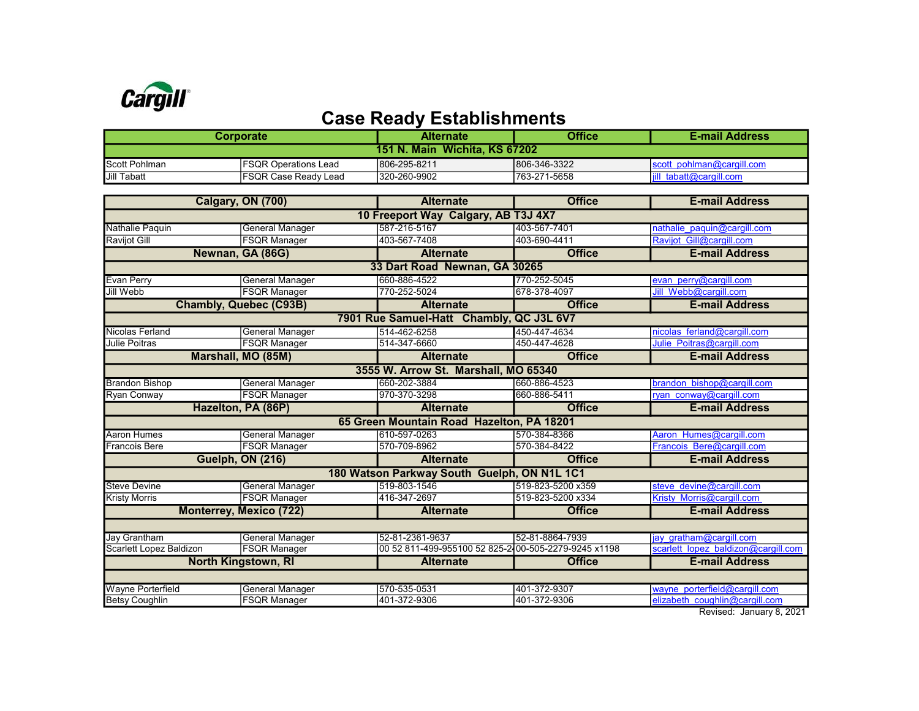

## Case Ready Establishments

| Corporate                            |                              | <b>Alternate</b> | <b>Office</b> | <b>E-mail Address</b>               |  |  |  |
|--------------------------------------|------------------------------|------------------|---------------|-------------------------------------|--|--|--|
| <b>151 N. Main Wichita, KS 67202</b> |                              |                  |               |                                     |  |  |  |
| <b>Scott Pohlman</b>                 | <b>IFSQR Operations Lead</b> | 806-295-8211     | 806-346-3322  | scott pohlman@cargill.com           |  |  |  |
| Jill Tabatt                          | <b>IFSQR Case Ready Lead</b> | 1320-260-9902    | 763-271-5658  | $\parallel$ iill tabatt@cargill.com |  |  |  |

|                                             | Calgary, ON (700)      | <b>Alternate</b>                                     | <b>Office</b>     | <b>E-mail Address</b>               |  |  |
|---------------------------------------------|------------------------|------------------------------------------------------|-------------------|-------------------------------------|--|--|
| 10 Freeport Way Calgary, AB T3J 4X7         |                        |                                                      |                   |                                     |  |  |
| Nathalie Paquin                             | General Manager        | 587-216-5167                                         | 403-567-7401      | nathalie paquin@cargill.com         |  |  |
| <b>Ravijot Gill</b>                         | <b>FSQR Manager</b>    | 403-567-7408                                         | 403-690-4411      | Ravijot Gill@cargill.com            |  |  |
|                                             | Newnan, GA (86G)       | <b>Alternate</b>                                     | <b>Office</b>     | <b>E-mail Address</b>               |  |  |
|                                             |                        | 33 Dart Road Newnan, GA 30265                        |                   |                                     |  |  |
| <b>Evan Perry</b>                           | <b>General Manager</b> | 660-886-4522                                         | 770-252-5045      | evan perry@cargill.com              |  |  |
| Jill Webb                                   | <b>FSQR Manager</b>    | 770-252-5024                                         | 678-378-4097      | Jill Webb@cargill.com               |  |  |
| <b>Chambly, Quebec (C93B)</b>               |                        | <b>Alternate</b>                                     | <b>Office</b>     | <b>E-mail Address</b>               |  |  |
| 7901 Rue Samuel-Hatt Chambly, QC J3L 6V7    |                        |                                                      |                   |                                     |  |  |
| Nicolas Ferland                             | <b>General Manager</b> | 514-462-6258                                         | 450-447-4634      | nicolas ferland@cargill.com         |  |  |
| <b>Julie Poitras</b>                        | <b>FSQR Manager</b>    | 514-347-6660                                         | 450-447-4628      | Julie Poitras@cargill.com           |  |  |
|                                             | Marshall, MO (85M)     | <b>Alternate</b>                                     | <b>Office</b>     | <b>E-mail Address</b>               |  |  |
|                                             |                        | 3555 W. Arrow St. Marshall, MO 65340                 |                   |                                     |  |  |
| <b>Brandon Bishop</b>                       | <b>General Manager</b> | 660-202-3884                                         | 660-886-4523      | brandon bishop@cargill.com          |  |  |
| Ryan Conway                                 | <b>FSQR Manager</b>    | 970-370-3298                                         | 660-886-5411      | ryan conway@cargill.com             |  |  |
| Hazelton, PA (86P)                          |                        | <b>Alternate</b>                                     | <b>Office</b>     | <b>E-mail Address</b>               |  |  |
| 65 Green Mountain Road Hazelton, PA 18201   |                        |                                                      |                   |                                     |  |  |
| <b>Aaron Humes</b>                          | <b>General Manager</b> | 610-597-0263                                         | 570-384-8366      | Aaron Humes@cargill.com             |  |  |
| <b>Francois Bere</b>                        | <b>FSQR Manager</b>    | 570-709-8962                                         | 570-384-8422      | Francois Bere@cargill.com           |  |  |
|                                             | Guelph, ON (216)       | <b>Alternate</b>                                     | <b>Office</b>     | <b>E-mail Address</b>               |  |  |
| 180 Watson Parkway South Guelph, ON N1L 1C1 |                        |                                                      |                   |                                     |  |  |
| <b>Steve Devine</b>                         | <b>General Manager</b> | 519-803-1546                                         | 519-823-5200 x359 | steve devine@cargill.com            |  |  |
| <b>Kristy Morris</b>                        | <b>FSQR Manager</b>    | 416-347-2697                                         | 519-823-5200 x334 | Kristy Morris@cargill.com           |  |  |
| Monterrey, Mexico (722)                     |                        | <b>Alternate</b>                                     | <b>Office</b>     | <b>E-mail Address</b>               |  |  |
|                                             |                        |                                                      |                   |                                     |  |  |
| <b>Jay Grantham</b>                         | <b>General Manager</b> | 52-81-2361-9637                                      | 52-81-8864-7939   | iav gratham@cargill.com             |  |  |
| Scarlett Lopez Baldizon                     | <b>FSQR Manager</b>    | 00 52 811-499-955100 52 825-2400-505-2279-9245 x1198 |                   | scarlett lopez baldizon@cargill.com |  |  |
| <b>North Kingstown, RI</b>                  |                        | <b>Alternate</b>                                     | <b>Office</b>     | <b>E-mail Address</b>               |  |  |
|                                             |                        |                                                      |                   |                                     |  |  |
| <b>Wayne Porterfield</b>                    | <b>General Manager</b> | 570-535-0531                                         | 401-372-9307      | wayne porterfield@cargill.com       |  |  |
| <b>Betsy Coughlin</b>                       | <b>FSQR Manager</b>    | 401-372-9306                                         | 401-372-9306      | elizabeth coughlin@cargill.com      |  |  |

Revised: January 8, 2021